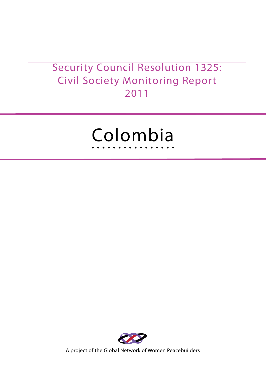# Security Council Resolution 1325: Civil Society Monitoring Report 2011





A project of the Global Network of Women Peacebuilders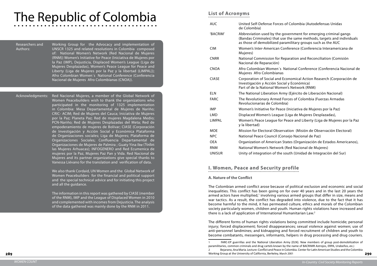## of Colombia (Autodefensas Unidas

overnment for emerging criminal gangs e the same methods, targets and individuals amilitary groups such as the AUC

nference (Conferencia Interamericana de

paration and Reconciliation (Comisión

lational Conference (Conferencia Nacional de

conomical Action Reaserch (Corporación de al y Económica)

en's Network (RNM)

ny (Ejército de Liberación Nacional)

orces of Colombia (Fuerzas Armadas

290

Imiciativa de Mujeres por la Paz)

(Liga de Mujeres Desplazadas),

Peace and Liberty (Liga de Muieres por la Paz

ation (Misión de Observación Electoral)

nsejo Nacional de Paz)

tates (Organización de Estados Americanos),

(Red Nacional de Mujeres)

outh (Unidad de Integraciòn del Sur)

# The Republic of Colombia

#### Researchers and Authors:

Working Group for the Advocacy and implementation of UNSCR 1325 and related resolutions in Colombia composed of: National Women's Network (Red Nacional de Mujeres (RNM)) Women's Initiative for Peace (Iniciativa de Mujeres por la Paz (IMP), Dejusticia, Displaced Women's League (Liga de Mujeres Desplazadas), Women's Peace League for Peace and Liberty (Liga de Mujeres por la Paz y la libertad (LIMPAL)); Afro Colombian Women´s National Conference (Conferencia Nacional de Mujeres Afro Colombianas (CNOA)).

Acknowledgments: Red Nacional Mujeres, a member of the Global Network of Women Peacebuilders wish to thank the organizations who participated in the monitoring of 1325 implementation in Colombia: Mesa Departamental de Mujeres de Nariño; CRIC- ACIM; Red de Mujeres del Cauca; Iniciativa de Mujeres por la Paz; Planeta Paz; Red de mujeres Magdalena Medio; PCN-Nariño; Red de Mujeres Desplazadas del Meta; Red de empoderamiento de mujeres de Bolívar; CIASE (Corporación de Investigación y Acción Social y Económica Plataforma de Organizaciones sociales; Liga de Mujeres; Plataforma de Organizaciones Sociales; Confluencia Departamental de Organizaciones de Mujeres de Palmira ; Guaty Yina Iku (Todas las Mujeres Arhuacas); INFOGENERO and Red Ecumenica de mujeres por la Paz, Mujeres Paz Pan y Vida. Red Nacional de Mujeres and its partner organizations give special thanks to Vanessa Liévano for the translation and verification of data.

> We also thank Cordaid, UN Women and the Global Network of Women Peacebuilders for the financial and political support and the special technical advice and for initiating this project and all the guidance.

The Colombian armed conflict arose because of political exclusion and economic and social inequalities. This conflict has been going on for over 40 years and in the last 20 years the armed actors have multiplied,<sup>1</sup> involving various armed groups that differ in size, means and war tactics. As a result, the conflict has degraded into violence, due to the fact that it has become harmful to the mind, it has permeated culture, ethics and morals of the Colombian society particularly women, children and youth. Human rights violations have increased and there is a lack of application of International Humanitarian Law.<sup>2</sup>

The information in this report was gathered by CIASE (member of the RNM), IMP and the League of Displaced Women in 2010 and complemented with incomes from Dejusticia. The analysis of the data gathered was mainly done by the RNM in 2011.

# **List of Acronyms**

| <b>AUC</b>    | United Self-Defense Forces of<br>de Colombia)                                                           |
|---------------|---------------------------------------------------------------------------------------------------------|
| 'BACRIM'      | Abbreviation used by the gov<br>(Bandas Criminales) that use t<br>as those of demobilized parar         |
| <b>CIM</b>    | <b>Women's Inter-American Conf</b><br>Mujeres)                                                          |
| <b>CNRR</b>   | National Commission for Repa<br>Nacional de Reparación)                                                 |
| <b>CNOA</b>   | Afro Colombian Women's Nat<br>Mujeres Afro Colombianas                                                  |
| <b>CIASE</b>  | <b>Corporation of Social and Eco</b><br>Investigación y Acción Social<br>Part of de la National Women's |
| <b>ELN</b>    | The National Liberation Army                                                                            |
| <b>FARC</b>   | The Revolutionary Armed Fore<br>Revolucionarias de Colombia)                                            |
| <b>IMP</b>    | Women's Initiative for Peace (I                                                                         |
| <b>LMD</b>    | Displaced Women's League (L                                                                             |
| <b>LIMPAL</b> | Women's Peace League for Pe<br>y la libertad)                                                           |
| <b>MOE</b>    | <b>Mission for Electoral Observat</b>                                                                   |
| <b>NPC</b>    | National Peace Council (Conse                                                                           |
| <b>OEA</b>    | Organization of American Stat                                                                           |
| <b>RNM</b>    | National Women's Network (R                                                                             |
| <b>UNISUR</b> | Unity of integration of the sou                                                                         |

# **I. Women, Peace and Security profile**

#### **A. Nature of the Conflict**

The different forms of human rights violations being committed include homicide; personal injury; forced displacement; forced disappearances; sexual violence against women; use of anti-personnel landmines; and kidnapping and forced recruitment of children and youth to become combatants, messengers, informants, helpers in drug processing and drug couriers.

1 FARC-EP guerrillas and the National Liberation Army (ELN). New members of group post-demobilization of 2 Bejarano, AnaMaria. Lecture: Conflict and Peace in Colombia. Center for LatinAmerican Studies and the Colombia

paramilitaries, common criminals and drug cartels known by the name of BACRIMR Astrojos, ERPA, Urabeños, etc.) Working Group at the University of California, Berkeley, March 2001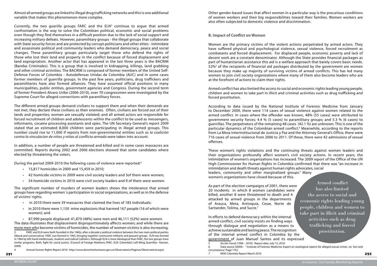292

Almost all armed groups are linked to illegal drug trafficking networks and this is one additional variable that makes this phenomenon more complex.

Currently, the two guerilla groups FARC and the  $ELN<sup>3</sup>$  continue to argue that armed confrontation is the way to solve the Colombian political, economic and social problems even though they find themselves in a difficult position due to the lack of social support and increasing military defeats. However, paramilitary groups - the illegal groups that collaborate with State security forces and are protected by corrupt politicians and other elites - intimidate and assassinate political and community leaders who demand democracy, peace and social changes. These paramilitary groups particularly target those who defend the rights of those who lost their land and property in the conflict because of forced displacement and land expropriation. Another actor that has appeared in the last three years is the BACRIM (Bandas Criminales). This is a group that is involved in kidnapping, killings, land grabbing and other criminal activities. The BACRIM is composed of former members of the United Self-Defense Forces of Colombia - Autodefensas Unidas de Colombia (AUC) and in some cases former members of guerrilla groups. In the past few years, politicians, drug traffickers and paramilitaries have also formed alliances. They have assumed official positions in many municipalities, public entities, government agencies and Congress. During the second term of former President Alvaro Uribe (2006-2010), over 70 congressmen were investigated by the Supreme Court for alleged connections with paramilitary forces.

- • 15,817 homicides in 2009 and 15,459 in 2010;
- • 42 homicide victims in 2009 were civil society leaders and 3of them were women;
- 54 homicide victims in 2010 were civil society leaders and 9 of them were women.

- • in 2010 there were 39 massacres that claimed the lives of 183 individuals;
- in 2010 there were 1,150 mine explosions that harmed 167 people (16 of which were women); and
- $\cdot$  87,990 people displaced: 41,879 (48%) were men and 46,111 (52%) were women.

The different armed groups demand civilians to support them and when their demands are not met, they declare these civilians as their enemies. Often, civilians are forced out of their lands and properties; women are sexually violated; and all armed actors are responsible for forced recruitment of children and adolescents within the conflict to be used as messengers, informants, cocaine processing assistants and spies. The UN Secretary General's report 2009 stated that an estimated 8,000 children were participating in illegal armed groups. This number could rise to 11,000 if reports from non-governmental entities such as *la coalición contra la vinculacion de niños y niñas al conflicto armada* were taken into account.

In addition, a number of people are threatened and killed and in some cases massacres are committed. Reports during 2002 and 2006 elections showed that some candidates where elected by threatening the voters.

During the period 2009-2010 the following cases of violence were reported:4

The significant number of murders of women leaders shows the intolerance that armed groups have regarding women´s participation in social organizations, as well as in the defense of victims' rights.

The data illustrates that displacement disproportionately affects women; and while there are more men who become victims of homicides, the number of women victims is also increasing.

4 Annual Human Rights Report 2010: http://www.derechoshumanos.gov.co/Observatorio/Paginas/Observatorio.aspx)

Other gender-based issues that affect women in a particular way is the precarious conditions of women workers and their big responsibilities toward their families. Women workers are also often subjected to domestic violence and discrimination.

#### **B. Impact of Conflict on Women**

Women are the primary victims of the violent actions perpetrated by armed actors. They have suffered physical and psychological violence, sexual violence, forced recruitment as combatants and forced displacement. For displaced people, economic poverty and lack of decent work are a constant denominator. Although the State provides financial packages as part of humanitarian assistance this aid is a welfare approach that barely covers basic needs. 52%<sup>5</sup> of the recipients of financial aid packages distributed by the government are women because they make up majority of surviving victims of armed conflicts. This has led many women to join civil society organizations where many of them also become leaders who are at the forefront of actions to claim their rights.

Armed conflict has also limited the access to social and economic rights leading young people, children and women to take part in illicit and criminal activities such as drug trafficking and forced prostitution.

According to data issued by the National Institute of Forensic Medicine from January to December 2009, there were 114 cases of sexual violence against women related to the armed conflict. In cases where the offender was known, 48% (55 cases) were attributed to government security forces; 4.4 % (5 cases) to paramilitary groups; and 5.3 % (6 cases) to guerrillas. The perpetrators of the remaining 48 cases (42.1 %) are unknown. This is one of the particular dynamics of the Colombian armed conflict.<sup>6</sup> Meanwhile, according to the reports from La Mesa Interinstitucional de Justicia y Paz and the Attorney General's Office, there were 716 cases of sexual violence from 2006 to 2011. Of these, there were 42 admissions of sexual offenses.

These women's rights violations and the continuing threats against women leaders and their organizations profoundly affect women's civil society actions. In recent years, the intimidation of women's organizations has increased. The 2009 report of the Office of the UN High Commissioner for Human Rights in Colombia confirmed that there was "an increase in intimidation and death threats against human rights advocates, social leaders, community and other marginalized groups." Many women's organizations have closed because of this.

As part of the election campaigns of 2001, there were 20 incidents in which 8 women candidates were killed, another 8 were threatened to death and 4 attacked by armed groups in the departments of Arauca, Meta, Antioquia, Cesar, Norte de Santander, Tolima, and Sucre. 7 In efforts to defend democracy within the internal armed conflict, civil society insists on finding ways through dialogue and negotiation as a means to achieve sustainable and lasting peace. The recognition of the internal armed conflict in Colombia by the government of Juan Manuel Santos and its expressed Armed conflict has also limited the access to social and economic rights leading young people, children and women to take part in illicit and criminal activities such as drug trafficking and forced prostitution.

6 Data source SISMA - " Institute of Forensic Medicine: Expert on sexological reports for alleged sexual crimes on fact and

<sup>3</sup> FARC and ELN were both founded in the 1960s, after a decade o political violence between the two main political parties (liberal and conservative). FARC was formed in 1965, bringing together communist militants and peasant groups. ELN was formed in 1964 by left-hand intellectuals, students and radical Catholics. Although ELN is more ideological than FARC, the two groups have similar programs: Both, fight for social justice. (Council of Foreign Relations FARC, ELN: Colombia's Left-Wing Guerrillas- Hanson, 2009)

<sup>5</sup> Acción Social (1996 – 2010). Report date: July 12, 2010.

circumstance."Page 170.)

<sup>7</sup> MOE Colombia Report March 2010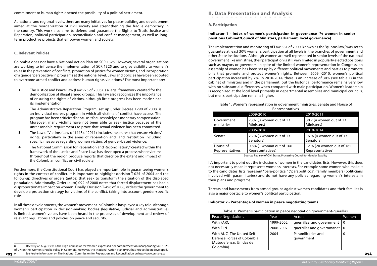commitment to human rights opened the possibility of a political settlement.

Colombia does not have a National Action Plan on SCR 1325. However, several organizations are working to influence the implementation of SCR 1325 and to give visibility to women`s roles in the prevention of conflicts, promotion of justice for women victims, and incorporation of a gender perspective in programs at the national level. Laws and policies have been adopted to overcome armed conflict and address human rights violations.<sup>8</sup> The most important are:

At national and regional levels, there are many initiatives for peace-building and development aimed at the reorganization of civil society and strengthening the fragile democracy in the country. This work also aims to defend and guarantee the Rights to Truth, Justice and Reparation, political participation, reconciliation and conflict management, as well as longterm productive projects that empower women and society.

#### **C. Relevant Policies**

- **1** The Justice and Peace Law (Law 975 of 2005) is a legal framework created for the demobilization of illegal armed groups. This law also recognizes the importance of ensuring the rights of victims, although little progress has been made since its implementation;
- **2** The Administrative Reparation Program, set up under Decree 1290 of 2008, is an individual redress program in which all victims of conflict have access. The program has been criticized because it focuses solely on monetary compensation. Moreover, many victims have not been able to seek justice because of the unreasonable requirements to prove that sexual violence has been committed.
- **3** The Law of Victims (Law of 1448 of 2011) includes measures that ensure victims' rights, particularly in the areas of reparation and land restitution including specific measures regarding women victims of gender-based violence;
- **4** The National Commission for Reparation and Reconciliation,<sup>9</sup> created within the framework of the Justice and Peace Law, has developed a process where victims throughout the region produce reports that describe the extent and impact of the Colombian conflict on civil society.

Table 1: Women's representation in government ministries, Senate and House of **Representatives** 

Furthermore, the Constitutional Court has played an important role in guaranteeing women's rights in the context of conflict. It is important to highlight decision T-025 of 2004 and the follow-up directives or orders (autos) that seek to transform the situation of the displaced population. Additionally, Order (auto) 092 of 2008 notes that forced displacement has had a disproportionate impact on women. Finally, Decision T-496 of 2008, orders the government to develop a protection strategy for victims of the conflict, taking into account gender-specific risks.

In all these developments, the women's movement in Colombia has played a key role. Although women's participation in decision-making bodies (legislative, judicial and administrative) is limited, women's voices have been heard in the processes of development and review of relevant regulations and policies on peace and security.

## **II. Data Presentation and Analysis**

#### **A. Participation**

#### **Indicator 1 - Index of women's participation in governance (% women in senior positions Cabinet/Council of Ministers, parliament, local governance)**

The implementation and monitoring of Law 581 of 2000, known as the "quotas law," was set to guarantee at least 30% women's participation at all levels in the branches of government and other State institutions. Although women are well represented in senior levels of the national government like ministries, their participation is still very limited in popularly elected positions such as mayors or governors. In spite of the limited women's representation in Congress, an assembly of women has been set up by different political movements and parties to promote bills that promote and protect women's rights. Between 2009 -2010, women's political participation increased by 7%. In 2010-2014, there is an increase of 30% (see table 1) in the cabinet of ministers and in the parliament, but the historical performance remains very low with no substantial differences when compared with male participation. Women's leadership is recognized at the local level primarily in departmental assemblies and municipal councils, but men's participation remains higher.

| <b>ICPICSCIRALIVES</b>      |                                              |                                               |  |  |
|-----------------------------|----------------------------------------------|-----------------------------------------------|--|--|
|                             | 2009-2010                                    | 2010-2011                                     |  |  |
| Government<br>ministries    | 23% (3 women out of 13<br>Ministers)         | 30.7 (4 women out of 13<br>Ministers)         |  |  |
|                             | 2006-2010                                    | 2010-2014                                     |  |  |
| Senate                      | 23 % (3 women out of 13<br>Senators)         | 16 % (4 women out of 13<br>Senators)          |  |  |
| House of<br>Representatives | 0.6% (1 woman out of 166<br>Representatives) | 12 % (20 women out of 165<br>Representatives) |  |  |

Source: Registry of Civil Status. Processing Council for Gender Equality

It's important to point out the inclusion of women in the candidates' lists. However, this does not necessarily mean it represents women's interests. For example some women who make it to the candidates' lists represent "para-political" ("parapoliticos") family members (politicians involved with paramilitaries) and do not have any policies regarding women`s interests in their plans and programs.

Threats and harassments from armed groups against women candidates and their families is also a major obstacle to women's political participation.

#### **Indicator 2 - Percentage of women in peace negotiating teams**

| Table 2: Women's participation in peace negotiation government-guerillas                         |           |                                              |       |
|--------------------------------------------------------------------------------------------------|-----------|----------------------------------------------|-------|
| <b>Peace Negotiations</b>                                                                        | Year      | Actors                                       | Women |
| With FARC                                                                                        | 1999-2002 | guerrillas and government                    | - 0   |
| With ELN                                                                                         | 2006-2007 | querrillas and governmanet $\vert 0 \rangle$ |       |
| With AUC- The United Self-<br>Defense Forces of Colombia<br>(Autodefensas Unidas de<br>Colombia) | 2004      | Paramilitaries and<br>government             | 0     |

<sup>293&</sup>lt;sup>9</sup> 9 See further information on The National Commission for Reparation and Reconciliation on http://www.cnrr.org.co

<sup>8</sup> Recently on August 2011, the High Counselor for Women expressed her commitment on incorporating SCR 1325

of UN on the Women´s Public Policy in Colombia. However, the National Action Plan (PNA) has not yet been developed.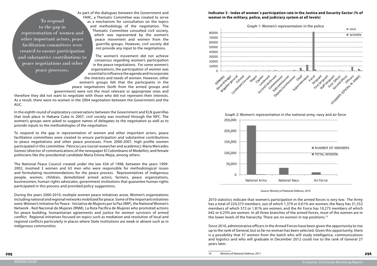As part of the dialogues between the Government and FARC, a Thematic Committee was created to serve as a mechanism for consultation on the topics and methodology of the negotiation. The Thematic Committee consulted civil society, which was represented by the women's peace movement and women from the guerrilla groups. However, civil society did not provide any input to the negotiations.

The women's movement did not achieve consensus regarding women's participation in the peace negotiations. For some women's organizations, the participation of women was essential to influence the agenda and incorporate the interests and needs of women. However, other women's groups felt that the participants in the peace negotiations (both from the armed groups and government) were not the most relevant or appropriate ones and

therefore they did not want to negotiate with those who did not represent their interests. As a result, there were no women in the 2004 negotiation between the Government and the AUC.

In the eighth round of exploratory conversations between the Government and ELN guerrillas that took place in Habana Cuba in 2007, civil society was involved through the NPC. The women's groups were asked to suggest names of delegates to the negotiation as well as to provide inputs to the methodologies of the negotiation.

To respond to the gap in representation of women and other important actors, peace facilitation committees were created to ensure participation and substantive contributions to peace negotiations and other peace processes. From 2000-2007, high profile women participated in this committee: Patricia Lara (social researcher and academic); Maria Mercedes Gomez (director of communications of the newspaper El Colombiano of Medellin); and female politicians like the presidential candidate Maria Emma Mejia, among others.

> 2010 statistics indicate that women's participation in the armed forces is very low. The Army has a total of 224,373 members, out of which 1,379 or 0.61% are women; the Navy has 31,552 members of which 572 or 1.81% are women; and the Air Force has 10,273 members of which 642 or 6.25% are women. In all three branches of the armed forces, most of the women are in the lower levels of the hierarchy. There are no women in top positions.<sup>10</sup>

The National Peace Council created under the law 434 of 1998, between the years 1999- 2002, involved 3 women and 63 men who were responsible for methodological issues and formulating recommendations for the peace process. Representatives of indigenous people, women, children, demobilized armed actors, farmers, peace organizations, businessmen, human rights advocates, government institutions that guarantee human rights participated in this process and provided policy suggestions.

During the years 2000-2010, multiple women peace initiatives arose. Women's organizations including national and regional networks mobilized for peace. Some of the important initiatives were: Women's Initiative for Peace - Iniciativa de Mujeres por la Paz (IMP), the National Women's Network - Red Nacional de Mujeres (RNM), La Ruta Pacifica de Mujeres who promoted actions for peace building, humanitarian agreements and justice for women survivors of armed conflict. Regional initiatives focused on topics such as mediation and resolution of local and regional conflicts particularly in places where State institutions are weak or absent such as in indigenous communities.

#### **Indicator 3 - Index of women`s participation rate in the Justice and Security Sector (% of women in the military, police, and judiciary system at all levels)**







Source: Ministry of National Defense, 2010

Since 2010, administrative officers in the Armed Forces have been given the opportunity to rise up to the rank of General, but so far no woman has been selected. Given this opportunity, there is a possibility that 57 women from the batch who will study intelligence, communications and logistics and who will graduate in December 2012 could rise to the rank of General 27 years later.

To respond to the gap in representation of women and other important actors, peace facilitation committees were created to ensure participation and substantive contributions to peace negotiations and other

peace processes.

<sup>10</sup> Ministry of National Defense, 2011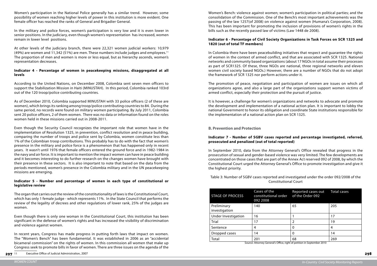Women's participation in the National Police generally has a similar trend. However, some possibility of women reaching higher levels of power in this institution is more evident. One female officer has reached the ranks of General and Brigadier General.

In the military and police forces, women's participation is very low and it is even lower in senior positions. In the judiciary, even though women's representation has increased, women remain in lower level positions.

At other levels of the judiciary branch, there were 22,321 women judicial workers: 10,979 (49%) are women and 11,342 (51%) are men. These numbers include judges and employees.<sup>11</sup> The proportion of men and women is more or less equal, but as hierarchy ascends, women's representation decreases.

#### **Indicator 4 - Percentage of women in peacekeeping missions, disaggregated at all levels**

According to the United Nations, on December 2008, Colombia sent seven men officers to support the Stabilization Mission in Haiti (MINUSTAH). In this period, Colombia ranked 103rd out of the 120 troop/police contributing countries.

As of December 2010, Colombia supported MINUSTAH with 33 police officers (2 of these are women), which brings its ranking among troop/police contributing countries to 84. During the same period, no records were found on military women participating. By July 2011, Colombia sent 20 police officers, 2 of them women. There was no data or information found on the roles women held in these missions carried out in 2008-2011.

Even though the Security Council recognizes the important role that women have in the implementation of Resolution 1325, in prevention, conflict resolution and in peace building, comparing the number of troops and police sent by Colombia, women constitute less than 1% of the Colombian troop contributions. This probably has to do with the fact that women's presence in the military and police force is a phenomenon that has happened only in recent years. It wasn't until 1976 that female officers entered the ground force and in 1982-1984 in the navy and air force. It is important to mention the impact women can have in peace building and it becomes interesting to do further research on the changes women have brought with their presence in these sectors. It is also important to note that based on the data from the periods mentioned, women's presence in the Colombia military and in the UN peacekeeping missions are emerging.

#### **Indicator 5 - Number and percentage of women in each type of constitutional or legislative review**

The organ that carries out the review of the constitutionality of laws is the Constitutional Court, which has only 1 female judge - which represents 11%. In the State Council that performs the review of the legality of decrees and other regulations of lower rank, 25% of the judges are women.

Even though there is only one woman in the Constitutional Court, this institution has been significant in the defense of women's rights and has increased the visibility of discrimination and violence against women.

In recent years, Congress has made progress in putting forth laws that impact on women. The "Women's Bench" has been fundamental. It was established in 2006 as an "accidental bicameral commission" on the rights of women. In this commission all women that make up Congress seek to promote bills in favor of women. There are three issues on the agenda of the

Women's Bench: violence against women; women's participation in political parties; and the consolidation of the Commission. One of the Bench's most important achievements was the passing of the law 1257(of 2008) on violence against women (Humana's Corporation, 2008). This has been important for promoting the inclusion of provisions of women's rights in the bills such as the recently passed law of victims (Law 1448 de 2008).

#### **Indicator 6 - Percentage of Civil Society Organizations in Task Forces on SCR 1325 and 1820 (out of total TF members)**

In Colombia there have been peacebuilding initiatives that respect and guarantee the rights of women in the context of armed conflict, and that are associated with SCR 1325. National networks and community based organizations (about 17 NGOs in total assume their processes as part of SCR1325. Of these, three NGOs are national, three regional networks and eleven women civil society based NGOs.) However, there are a number of NGOs that do not adopt the framework of SCR 1325 nor perform actions under it.

The promotion of peace, negotiation and participation of women are issues on which all organizations agree, and also a large part of the organizations support women victims of armed conflict, especially their protection and the pursuit of justice.

It is however, a challenge for women's organizations and networks to advocate and promote the development and implementation of a national action plan. It is important to lobby the national Government to honor its obligation and coordinate State institutions responsible for the implementation of a national action plan on SCR 1325.

#### **B. Prevention and Protection**

#### **Indicator 7 - Number of SGBV cases reported and percentage investigated, referred, prosecuted and penalized (out of total reported)**

In September 2010, data from the Attorney General's Office revealed that progress in the prosecution of sexual and gender-based violence was very limited. The few developments are concentrated on those cases that are part of the Annex Act reserved 092 of 2008, by which the Constitutional Court urged the Attorney General's Office to promote investigation and give it the highest priority.

Table 3: Number of SGBV cases reported and investigated under the order 092/2008 of the Constitutional Court

| Cases of the<br>constitutional order<br>092 2008 | Reported cases out<br>of the Order 092 | <b>Total cases</b>                                                     |
|--------------------------------------------------|----------------------------------------|------------------------------------------------------------------------|
| 140                                              | 65                                     | 205                                                                    |
| 16                                               |                                        | 17                                                                     |
| 17                                               | 2                                      | 19                                                                     |
| 4                                                | 0                                      | 4                                                                      |
| 14                                               | 0                                      | 14                                                                     |
| 201                                              | 68                                     | 269                                                                    |
|                                                  |                                        | Source: Attorney General's Office, right of petition in September 2010 |

nce, right of pet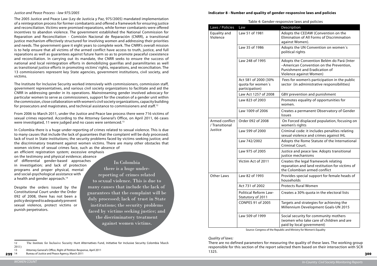#### *Justice and Peace Process - law 975/2005*

The 2005 Justice and Peace Law (Ley de Justicia y Paz, 975/2005) mandated implementation of a reintegration process for former combatants and offered a framework for ensuring justice and reconciliation. Victims were promised reparations, while former combatants were offered incentives to abandon violence. The government established the National Commission for Reparation and Reconciliation - Comisión Nacional de Reparación (CNRR), a transitional justice mechanism effectively structured for involving women and addressing their priorities and needs. The government gave it eight years to complete work. The CNRR's overall mission is to help ensure that all victims of the armed conflict have access to truth, justice, and full reparations as well as guarantees against future harm so as to promote peaceful coexistence and reconciliation. In carrying out its mandate, the CNRR seeks to ensure the success of national and local reintegration efforts in demobilizing guerillas and paramilitaries as well as transitional justice efforts in promoting victims' rights, reparations, and reconciliation. The 13 commissioners represent key State agencies, government institutions, civil society, and victims.

From 2006 to March 2011, under the Justice and Peace law process there were 716 victims of sexual crimes reported. According to the Attorney General's Office, on April 2011, 66 cases were investigated, 11 were judged and no cases were sentenced.<sup>13</sup>

an efficient registration system; excessive emphasis on the testimony and physical evidence; absence of differential gender-based approaches in investigation; and lack of protection programs and proper physical, mental and social-psychological assistance with a health and gender approach.<sup>14</sup>

The Institute for Inclusive Security worked intensively with commissioners, commission staff, government representatives, and various civil society organizations to facilitate and aid the CNRR in addressing gender in its operations. Mainstreaming gender involved advocacy for particular women to serve as commissioners, support for the creation of a gender unit within the commission, close collaboration with women's civil society organizations, capacity building for prosecutors and magistrates, and technical assistance to commissioners and staff.12

In Colombia there is a huge under-reporting of crimes related to sexual violence. This is due to many causes that include the lack of guarantees that the complaint will be duly processed; lack of trust in State institutions; the security problems faced by victims seeking justice; and the discriminatory treatment against women victims. There are many other obstacles that women victims of sexual crimes face, such as the absence of

Despite the orders issued by the Constitutional Court under the Order 092 of 2008, there has not been a policy designed to adequately prevent sexual violence, protect victims or punish perpetrators.

12 The Institute for Inclusive Security Hunt Alternatives Fund, Initiative for Inclusive Security Colombia March

13 Attorney General's Office, Right of Petition Response, April 2011

299 14 Bureau of Justice and Peace Agency, March 2011

| Table 4: Gender-responsive laws and policies |                                                             |                                                                                                                                                          |  |
|----------------------------------------------|-------------------------------------------------------------|----------------------------------------------------------------------------------------------------------------------------------------------------------|--|
| Laws / Policies                              | Law                                                         | Description                                                                                                                                              |  |
| Equality and<br>Violence                     | Law 51 of 1981                                              | Adopts the CEDAW (Convention on the<br>Elimination of All Forms of Discrimination<br>against Women).                                                     |  |
|                                              | Law 35 of 1986                                              | Adopts the UN Convention on women's<br>political rights                                                                                                  |  |
|                                              | Law 248 of 1995                                             | Adopts the Convention Belém do Pará (Inter<br>-American Convention on the Prevention,<br><b>Punishment and Eradication of</b><br>Violence against Women) |  |
|                                              | Act 581 of 2000 (30%<br>quota for women's<br>participation) | Fees for women's participation in the public<br>sector (in administrative responsibilities)                                                              |  |
|                                              | Law Act 1257 of 2008                                        | GBV prevention and punishment                                                                                                                            |  |
|                                              | Law 823 of 2003                                             | Promotes equality of opportunities for<br>women.                                                                                                         |  |
|                                              | Law 1009 of 2006                                            | Creates a permanent Observatory of Gender<br><b>Issues</b>                                                                                               |  |
| Armed conflict<br>/ Transitional             | Order 092 of 2008                                           | On Forced displaced population, focusing on<br>women's rights                                                                                            |  |
| Justice                                      | Law 599 of 2000                                             | Criminal code: it includes penalties relating<br>sexual violence and crimes against IHL                                                                  |  |
|                                              | Law 742/2002                                                | Adopts the Rome Statute of the International<br>Criminal Court.                                                                                          |  |
|                                              | Law 975 of 2005                                             | Justice and peace law. Adopts transitional<br>justice mechanisms                                                                                         |  |
|                                              | Victim Act of 2011                                          | Creates the legal framework relating<br>reparation and land restitution for victims of<br>the Colombian armed conflict                                   |  |
| <b>Other Laws</b>                            | Law 82 of 1993                                              | Provides special support for female heads of<br>households                                                                                               |  |
|                                              | Act 731 of 2002                                             | <b>Protects Rural Women</b>                                                                                                                              |  |
|                                              | <b>Political Reform Law-</b><br>Statutory of 2011           | Creates a 30% quota in the electoral lists                                                                                                               |  |
|                                              | <b>CONPES 91 of 2005</b>                                    | Targets and strategies for achieving the<br>Millennium Development Goals-UN 2015                                                                         |  |
|                                              | Law 509 of 1999                                             | Social security for community mothers<br>(women who take care of children and are<br>local government)                                                   |  |

paid by local government)

Source: Congress of the Republic and Ministry for Women's Equality

#### *Quality of laws:*

There are no defined parameters for measuring the quality of these laws. The working group responsible for this section of the report selected them based on their intersection with SCR 1325.

In Colombia there is a huge underreporting of crimes related to sexual violence. This is due to many causes that include the lack of guarantees that the complaint will be duly processed; lack of trust in State institutions; the security problems faced by victims seeking justice; and the discriminatory treatment against women victims.

<sup>2011)</sup>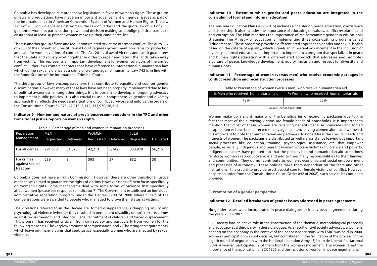us men) who receive humanitarian aid % Women who received humanitarian aid

Colombia has developed comprehensive legislation in favor of women's rights. These groups of laws and regulations have made an important advancement on gender issues as part of the international Latin American Convention System of Women and Human Rights. The law 1257 of 2008 on violence against women, the Law of Parties and the quota law of 581 of 2000 guarantee women's participation, power and decision making; and oblige political parties to ensure that at least 30 percent women make up their candidates' list.

There is another group of laws and regulations related to victims of armed conflict. The Auto 092 of 2008 of the Colombian Constitutional Court requires government programs for protection and care for women victims of conflict. The Act 2011, (Law of Victims and Land) guarantees that the State and society work together in order to repair and return the lands taken away from victims. This represents an important development for women survivors of the armed conflict. Other laws contain chapters that have reference to international humanitarian law, which define sexual violence as a crime of war and against humanity. Law 742 is in line with the Rome Statute of the International Criminal Court.

The third group of laws encompasses laws that contribute to equality and counter gender discrimination. However, many of these laws have not been properly implemented due to lack of political awareness, among other things. It is important to develop an ongoing advocacy to implement public policies. It is also crucial to use a comprehensive gender and diversity approach that reflects the needs and situations of conflict survivors and enforce the orders of the Constitutional Court.51,073; 42,213; 5,142; 333,970; 56,215

#### **Indicator 9 - Number and nature of provisions/recommendations in the TRC and other transitional justice reports on women's rights**

Table 5: Percentage of men and women in reparation processes

| Reparation                              | <b>MEN</b> |                  | <b>WOMEN</b>        |       | Total     |           |
|-----------------------------------------|------------|------------------|---------------------|-------|-----------|-----------|
| Management                              | Requested  | <b>Delivered</b> | Requested Delivered |       | Requested | Delivered |
| For all crimes                          | 291,650    | 51,073           | 42,213              | 5,142 | 333,970   | 56,215    |
| For crimes<br>against sexual<br>freedom | 239        | 3                | 593                 | 27    | 832       | 30        |

Colombia does not have a Truth Commission. However, there are other transitional justice mechanisms aimed to guarantee the rights of victims. However, none of them focus specifically on women's rights. Some mechanisms deal with some forms of violence that specifically affect women (please see response to indicator 7). The Government established an individual administrative reparation program under the Decree 1290 of 2008 wherein half of the compensations were awarded to people who managed to prove their status as victims.

The violations referred to in the Decree are: forced disappearance, kidnapping, injury and psychological violence (whether they resulted in permanent disability or not), torture, crimes against sexual freedom and integrity, illegal recruitment of children and forced displacement. This program has received criticism from civil society and particularly from women for the following reasons: 1) The very low amounts of compensation; and 2) The stringent requirements, which leave out many victims that seek justice, especially women who are affected by sexual violence.

#### **Indicator 10 - Extent to which gender and peace education are integrated in the curriculum of formal and informal education**

The Ten-Year Education Plan (2006-2015) includes a chapter on peace education, coexistence and citizenship. It also includes the importance of educating on values, conflict resolution and anti-corruption. The Plan mentions the importance of mainstreaming gender in educational strategies. The Ministry of Education is implementing three cross-cutting programs called "Eduderechos." These programs provide a differentiated approach to gender and sexual health based on the criteria of equality, which signals an important advancement in the inclusion of diversity in formal education. It is important to implement a program that specializes in peace and human rights education with a differentiated approach that addresses and promotes a culture of peace, knowledge development, equity, inclusion and respect for diversity and human rights.

#### **Indicator 11 - Percentage of women (versus men) who receive economic packages in conflict resolution and reconstruction processes**

| Table 6: Percentage of women (versus men) who receive huma  |                              |  |  |
|-------------------------------------------------------------|------------------------------|--|--|
| % Men who received humanitarian aid 40 % Women who received |                              |  |  |
| 48%                                                         | 52%                          |  |  |
|                                                             | Source: (Acción Social 2010) |  |  |

#### Source: (Acción Social 2010)

Women make up a slight majority of the beneficiaries of economic packages due to the fact that most of the surviving victims are female heads of households. It is important to mention that most of these women are receiving benefits because homicides and forced disappearances have been directed mostly against men, leaving women alone and widowed. It is important to note that humanitarian aid packages do not address the specific needs and interests of women. The packages are distributed as welfare assistance leaving out important social processes like education, training, psychological assistance, etc. that empower people, especially indigenous and peasant women who are victims of violence and poverty. Indigenous leaders have pointed out that the policies behind humanitarian aid sometimes reinforce women's reproductive role and add to their many responsibilities to their families and communities. They do not contribute to women's economic and social empowerment and processes of autonomy. These policies make them dependent on the State and other institutions. It is crucial to provide psychosocial care for female victims of conflict. However despite an order from the Constitutional Court (Order 092 of 2008), such service has not been provided.

#### **C. Promotion of a gender perspective**

#### **Indicator 12 - Detailed breakdown of gender issues addressed in peace agreements**

No gender issues were incorporated in peace dialogues or in any peace agreements during the years 2000-2007.

Civil society had an active role in the construction of the thematic, methodological proposals and advocacy as a third party in these dialogues. As a result of civil society advocacy, a women's hearing on the economy in the context of the peace negotiations with FARC was held in 2000. Women's participation was not decisive, but contributed in the facilitation of the process. In the eighth round of negotiation with the National Liberation Army - Ejército de Liberación Nacional (ELN), 4 women participated, 2 of them from the women's movement. The women raised the importance of the application of SCR 1325 and the inclusion of women in peace negotiations.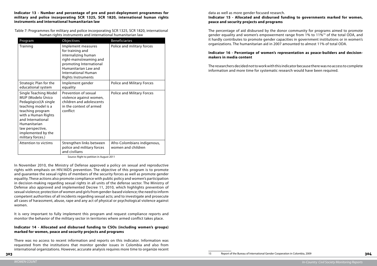**Indicator 13 - Number and percentage of pre and post-deployment programmes for military and police incorporating SCR 1325, SCR 1820, international human rights instruments and international humanitarian law**

Table 7: Programmes for military and police incorporating SCR 1325, SCR 1820, international human rights instruments and international humanitarian law

| Program                                                                                                                                                                                                                                         | Objectives                                                                                                                                                                                             | <b>Beneficiaries</b>                              |
|-------------------------------------------------------------------------------------------------------------------------------------------------------------------------------------------------------------------------------------------------|--------------------------------------------------------------------------------------------------------------------------------------------------------------------------------------------------------|---------------------------------------------------|
| Training                                                                                                                                                                                                                                        | Implement measures<br>for training and<br>internalizing human<br>right-mainstreaming and<br>promoting International<br>Humanitarian Law and<br><b>International Human</b><br><b>Rights Instruments</b> | Police and military forces                        |
| Strategic Plan for the<br>educational system                                                                                                                                                                                                    | Implement gender<br>equality                                                                                                                                                                           | <b>Police and Military Forces</b>                 |
| <b>Single Teaching Model</b><br>MUP (Modelo Único<br>Pedagógico)(A single<br>teaching model is a<br>teaching program<br>with a Human Rights<br>and International<br>Humanitarian<br>law perspective,<br>implemented by the<br>military forces.) | Prevention of sexual<br>violence against women,<br>children and adolescents<br>in the context of armed<br>conflict                                                                                     | <b>Police and Military Forces</b>                 |
| <b>Attention to victims</b>                                                                                                                                                                                                                     | Strengthen links between<br>police and military forces<br>and civilians                                                                                                                                | Afro-Colombians indigenous,<br>women and children |

Source: Right to petition in August 2011

In November 2010, the Ministry of Defense approved a policy on sexual and reproductive rights with emphasis on HIV/AIDS prevention. The objective of this program is to promote and guarantee the sexual rights of members of the security forces as well as promote gender equality. These actions also promote compliance with public policy and women's participation in decision-making regarding sexual rights in all units of the defense sector. The Ministry of Defense also approved and implemented Decree 11, 2010, which highlights prevention of sexual violence; protection of women and girls from gender-based violence; the need to inform competent authorities of all incidents regarding sexual acts; and to investigate and prosecute all cases of harassment, abuse, rape and any act of physical or psychological violence against women.

It is very important to fully implement this program and request compliance reports and monitor the behavior of the military sector in territories where armed conflict takes place.

#### **Indicator 14 - Allocated and disbursed funding to CSOs (including women's groups) marked for women, peace and security projects and programs**

There was no access to recent information and reports on this indicator. Information was requested from the institutions that monitor gender issues in Colombia and also from international organizations. However, accurate analysis requires more time to organize recent data as well as more gender focused research. **peace and security projects and programs** 

#### **Indicator 15 - Allocated and disbursed funding to governments marked for women,**

The percentage of aid disbursed by the donor community for programs aimed to promote gender equality and women's empowerment range from 1% to 11%15 of the total ODA, and it hardly contributes to promote gender capacities in government institutions or in women's organizations. The humanitarian aid in 2007 amounted to almost 11% of total ODA.

#### **Indicator 16 - Percentage of women's representation as peace-builders and decisionmakers in media content**

The researchers decided not to workwith this indicatorbecause there was no accesstocomplete information and more time for systematic research would have been required.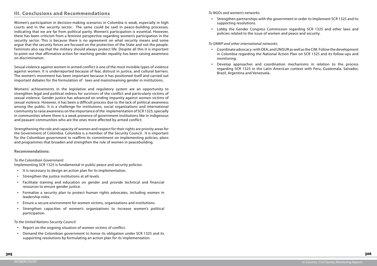• Strengthen partnerships with the government in order to implement SCR 1325 and its

• Lobby the Gender Congress Commission regarding SCR 1325 and other laws and

# **III. Conclusions and Recommendations**

Women's participation in decision-making scenarios in Colombia is weak, especially in high courts and in the security sector. The same could be said in peace-building processes, indicating that we are far from political parity. Women's participation is essential. However, there has been criticism from a feminist perspective regarding women's participation in the security sector. This is because there is no agreement on what security means and some argue that the security forces are focused on the protection of the State and not the people. Feminists also say that the military should always protect life. Despite all this it is important to point out that affirmative action for reaching gender equality has been raising awareness on discrimination.

Sexual violence against women in armed conflict is one of the most invisible types of violence against women. It is underreported because of fear, distrust in justice, and cultural barriers. The women's movement has been important because it has positioned itself and carried out important debates for the formulation of laws and mainstreaming gender in institutions.

Womens' achievements in the legislative and regulatory system are an opportunity to strengthen legal and political redress for survivors of the conflict and particularly victims of sexual violence. Gender justice has advanced on ending impunity against women victims of sexual violence. However, it has been a difficult process due to the lack of political awareness among the public. It is a challenge for institutions, social organizations and international community to raise awareness on the importance of the implementation of SCR 1325, specially in communities where there is a weak presence of government institutions like in indigenous and peasant communities who are the ones more affected by armed conflict.

- Report on the ongoing situation of women victims of conflict.
- Demand the Colombian government to honor its obligation under SCR 1325 and its supporting resolutions by formulating an action plan for its implementation.

Develop approaches and coordination mechanisms in relation to the process regarding SCR 1325 in the Latin American context with Peru, Guatemala, Salvador,

Strengthening the role and capacity of women and respect for their rights are priority areas for the Government of Colombia. Colombia is a member of the Security Council. It is important for the Colombian government to reaffirm its commitment on implementing policies, plans and programmes that broaden and strengthen the role of women in peacebuilding.

#### **Recommendations:**

*To the Colombian Government:*

Implementing SCR 1325 is fundamental in public peace and security policies:

- • It is necessary to design an action plan for its implementation.
- Strengthen the justice institutions at all levels.
- Facilitate training and education on gender and provide technical and financial resources to ensure gender justice.
- Formalize a security plan to protect human rights advocates, including women in leadership roles.
- Ensure a secure environment for women victims, organizations and institutions.
- Strengthen capacities of women's organizations to increase women's political participation.

#### *To the United Nations Security Council:*

*To NGOs and women's networks:*

- supporting resolutions.
- policies related to the issue of women and peace and security.

## *To GNWP and other international networks:*

in Colombia regarding the National Action Plan on SCR 1325 and its follow-ups and

- • Coordinate advocacy: with OEA, and UNISUR as well as the CIM. Follow the development monitoring.
- Brazil, Argentina and Venezuela.